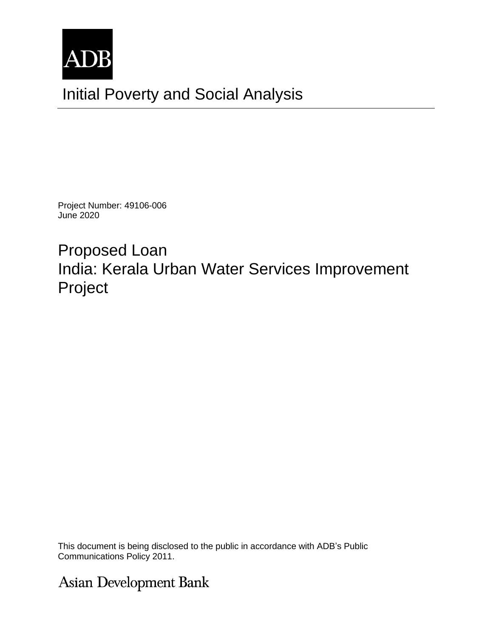

Project Number: 49106-006 June 2020

Proposed Loan India: Kerala Urban Water Services Improvement Project

This document is being disclosed to the public in accordance with ADB's Public Communications Policy 2011.

Asian Development Bank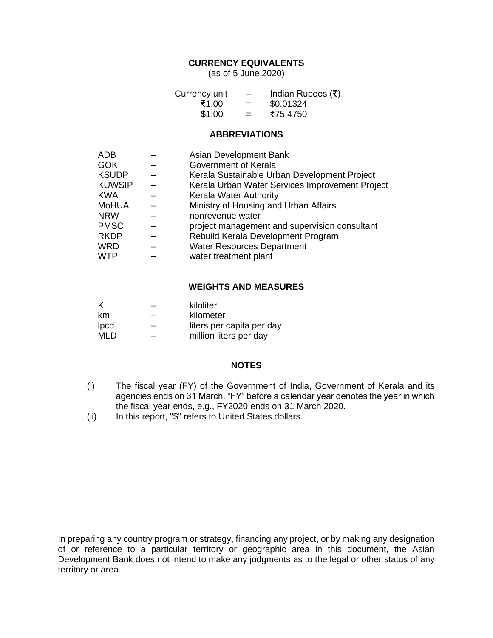# **CURRENCY EQUIVALENTS**

(as of 5 June 2020)

| Currency unit | $\overline{\phantom{a}}$ | Indian Rupees $(\bar{\tau})$ |
|---------------|--------------------------|------------------------------|
| ₹1.00         | $=$                      | \$0.01324                    |
| \$1.00        | $=$                      | ₹75.4750                     |

## **ABBREVIATIONS**

| ADB           | Asian Development Bank                          |
|---------------|-------------------------------------------------|
| <b>GOK</b>    | Government of Kerala                            |
| <b>KSUDP</b>  | Kerala Sustainable Urban Development Project    |
| <b>KUWSIP</b> | Kerala Urban Water Services Improvement Project |
| <b>KWA</b>    | <b>Kerala Water Authority</b>                   |
| <b>MoHUA</b>  | Ministry of Housing and Urban Affairs           |
| <b>NRW</b>    | nonrevenue water                                |
| <b>PMSC</b>   | project management and supervision consultant   |
| <b>RKDP</b>   | Rebuild Kerala Development Program              |
| <b>WRD</b>    | <b>Water Resources Department</b>               |
| <b>WTP</b>    | water treatment plant                           |

#### **WEIGHTS AND MEASURES**

| KL          |   | kiloliter                 |
|-------------|---|---------------------------|
| km          | - | kilometer                 |
| <b>lpcd</b> | - | liters per capita per day |
| <b>MLD</b>  | – | million liters per day    |

## **NOTES**

- (i) The fiscal year (FY) of the Government of India, Government of Kerala and its agencies ends on 31 March. "FY" before a calendar year denotes the year in which the fiscal year ends, e.g., FY2020 ends on 31 March 2020.
- (ii) In this report, "\$" refers to United States dollars.

In preparing any country program or strategy, financing any project, or by making any designation of or reference to a particular territory or geographic area in this document, the Asian Development Bank does not intend to make any judgments as to the legal or other status of any territory or area.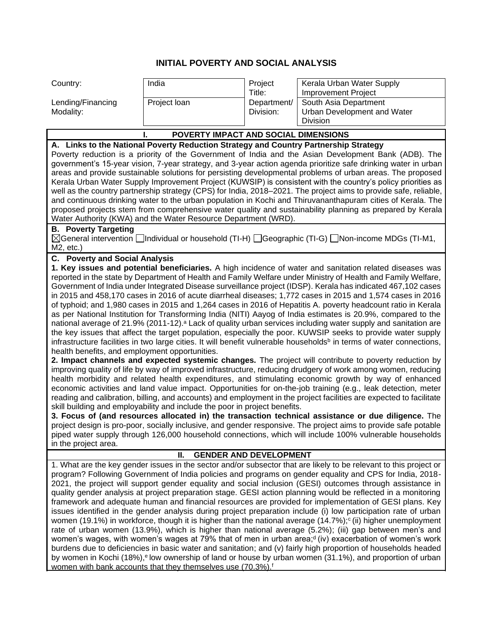# **INITIAL POVERTY AND SOCIAL ANALYSIS**

| Country:                                       | India                                                                                | Project                       | Kerala Urban Water Supply                                                                                                                                                                                                          |
|------------------------------------------------|--------------------------------------------------------------------------------------|-------------------------------|------------------------------------------------------------------------------------------------------------------------------------------------------------------------------------------------------------------------------------|
| Lending/Financing                              | Project loan                                                                         | Title:<br>Department/         | <b>Improvement Project</b><br>South Asia Department                                                                                                                                                                                |
| Modality:                                      |                                                                                      | Division:                     | Urban Development and Water                                                                                                                                                                                                        |
|                                                |                                                                                      |                               | Division                                                                                                                                                                                                                           |
|                                                | POVERTY IMPACT AND SOCIAL DIMENSIONS                                                 |                               |                                                                                                                                                                                                                                    |
|                                                | A. Links to the National Poverty Reduction Strategy and Country Partnership Strategy |                               |                                                                                                                                                                                                                                    |
|                                                |                                                                                      |                               | Poverty reduction is a priority of the Government of India and the Asian Development Bank (ADB). The                                                                                                                               |
|                                                |                                                                                      |                               | government's 15-year vision, 7-year strategy, and 3-year action agenda prioritize safe drinking water in urban                                                                                                                     |
|                                                |                                                                                      |                               | areas and provide sustainable solutions for persisting developmental problems of urban areas. The proposed                                                                                                                         |
|                                                |                                                                                      |                               | Kerala Urban Water Supply Improvement Project (KUWSIP) is consistent with the country's policy priorities as                                                                                                                       |
|                                                |                                                                                      |                               | well as the country partnership strategy (CPS) for India, 2018–2021. The project aims to provide safe, reliable,                                                                                                                   |
|                                                |                                                                                      |                               | and continuous drinking water to the urban population in Kochi and Thiruvananthapuram cities of Kerala. The                                                                                                                        |
|                                                |                                                                                      |                               | proposed projects stem from comprehensive water quality and sustainability planning as prepared by Kerala                                                                                                                          |
|                                                | Water Authority (KWA) and the Water Resource Department (WRD).                       |                               |                                                                                                                                                                                                                                    |
| <b>B.</b> Poverty Targeting                    |                                                                                      |                               |                                                                                                                                                                                                                                    |
|                                                |                                                                                      |                               | $\boxtimes$ General intervention $\Box$ Individual or household (TI-H) $\Box$ Geographic (TI-G) $\Box$ Non-income MDGs (TI-M1,                                                                                                     |
| $M2$ , etc.)                                   |                                                                                      |                               |                                                                                                                                                                                                                                    |
| <b>C.</b> Poverty and Social Analysis          |                                                                                      |                               | 1. Key issues and potential beneficiaries. A high incidence of water and sanitation related diseases was                                                                                                                           |
|                                                |                                                                                      |                               | reported in the state by Department of Health and Family Welfare under Ministry of Health and Family Welfare,                                                                                                                      |
|                                                |                                                                                      |                               | Government of India under Integrated Disease surveillance project (IDSP). Kerala has indicated 467,102 cases                                                                                                                       |
|                                                |                                                                                      |                               | in 2015 and 458,170 cases in 2016 of acute diarrheal diseases; 1,772 cases in 2015 and 1,574 cases in 2016                                                                                                                         |
|                                                |                                                                                      |                               | of typhoid; and 1,980 cases in 2015 and 1,264 cases in 2016 of Hepatitis A. poverty headcount ratio in Kerala                                                                                                                      |
|                                                |                                                                                      |                               | as per National Institution for Transforming India (NITI) Aayog of India estimates is 20.9%, compared to the                                                                                                                       |
|                                                |                                                                                      |                               | national average of 21.9% (2011-12). <sup>a</sup> Lack of quality urban services including water supply and sanitation are                                                                                                         |
|                                                |                                                                                      |                               | the key issues that affect the target population, especially the poor. KUWSIP seeks to provide water supply                                                                                                                        |
|                                                |                                                                                      |                               | infrastructure facilities in two large cities. It will benefit vulnerable households <sup>b</sup> in terms of water connections,                                                                                                   |
| health benefits, and employment opportunities. |                                                                                      |                               |                                                                                                                                                                                                                                    |
|                                                |                                                                                      |                               | 2. Impact channels and expected systemic changes. The project will contribute to poverty reduction by                                                                                                                              |
|                                                |                                                                                      |                               | improving quality of life by way of improved infrastructure, reducing drudgery of work among women, reducing<br>health morbidity and related health expenditures, and stimulating economic growth by way of enhanced               |
|                                                |                                                                                      |                               | economic activities and land value impact. Opportunities for on-the-job training (e.g., leak detection, meter                                                                                                                      |
|                                                |                                                                                      |                               | reading and calibration, billing, and accounts) and employment in the project facilities are expected to facilitate                                                                                                                |
|                                                | skill building and employability and include the poor in project benefits.           |                               |                                                                                                                                                                                                                                    |
|                                                |                                                                                      |                               | 3. Focus of (and resources allocated in) the transaction technical assistance or due diligence. The                                                                                                                                |
|                                                |                                                                                      |                               | project design is pro-poor, socially inclusive, and gender responsive. The project aims to provide safe potable                                                                                                                    |
|                                                |                                                                                      |                               | piped water supply through 126,000 household connections, which will include 100% vulnerable households                                                                                                                            |
| in the project area.                           |                                                                                      |                               |                                                                                                                                                                                                                                    |
|                                                | н.                                                                                   | <b>GENDER AND DEVELOPMENT</b> |                                                                                                                                                                                                                                    |
|                                                |                                                                                      |                               | 1. What are the key gender issues in the sector and/or subsector that are likely to be relevant to this project or                                                                                                                 |
|                                                |                                                                                      |                               | program? Following Government of India policies and programs on gender equality and CPS for India, 2018-                                                                                                                           |
|                                                |                                                                                      |                               | 2021, the project will support gender equality and social inclusion (GESI) outcomes through assistance in                                                                                                                          |
|                                                |                                                                                      |                               | quality gender analysis at project preparation stage. GESI action planning would be reflected in a monitoring                                                                                                                      |
|                                                |                                                                                      |                               | framework and adequate human and financial resources are provided for implementation of GESI plans. Key                                                                                                                            |
|                                                |                                                                                      |                               | issues identified in the gender analysis during project preparation include (i) low participation rate of urban<br>women (19.1%) in workforce, though it is higher than the national average $(14.7\%)$ ; (ii) higher unemployment |
|                                                |                                                                                      |                               | rate of urban women (13.9%), which is higher than national average (5.2%); (iii) gap between men's and                                                                                                                             |
|                                                |                                                                                      |                               | women's wages, with women's wages at 79% that of men in urban area; <sup>d</sup> (iv) exacerbation of women's work                                                                                                                 |
|                                                |                                                                                      |                               | burdens due to deficiencies in basic water and sanitation; and (v) fairly high proportion of households headed                                                                                                                     |
|                                                |                                                                                      |                               | by women in Kochi (18%), <sup>e</sup> low ownership of land or house by urban women (31.1%), and proportion of urban                                                                                                               |
|                                                | women with bank accounts that they themselves use (70.3%). <sup>f</sup>              |                               |                                                                                                                                                                                                                                    |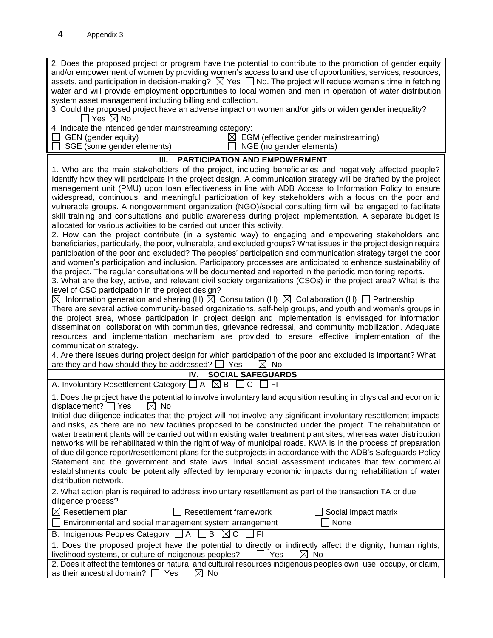2. Does the proposed project or program have the potential to contribute to the promotion of gender equity and/or empowerment of women by providing women's access to and use of opportunities, services, resources, assets, and participation in decision-making?  $\boxtimes$  Yes  $\Box$  No. The project will reduce women's time in fetching water and will provide employment opportunities to local women and men in operation of water distribution system asset management including billing and collection. 3. Could the proposed project have an adverse impact on women and/or girls or widen gender inequality?  $\Box$  Yes  $\boxtimes$  No 4. Indicate the intended gender mainstreaming category:  $\Box$  GEN (gender equity)  $\boxtimes$  EGM (effective gender mainstreaming) SGE (some gender elements)  $\Box$  NGE (no gender elements) **III. PARTICIPATION AND EMPOWERMENT** 1. Who are the main stakeholders of the project, including beneficiaries and negatively affected people? Identify how they will participate in the project design. A communication strategy will be drafted by the project management unit (PMU) upon loan effectiveness in line with ADB Access to Information Policy to ensure widespread, continuous, and meaningful participation of key stakeholders with a focus on the poor and vulnerable groups. A nongovernment organization (NGO)/social consulting firm will be engaged to facilitate skill training and consultations and public awareness during project implementation. A separate budget is allocated for various activities to be carried out under this activity. 2. How can the project contribute (in a systemic way) to engaging and empowering stakeholders and beneficiaries, particularly, the poor, vulnerable, and excluded groups? What issues in the project design require participation of the poor and excluded? The peoples' participation and communication strategy target the poor and women's participation and inclusion. Participatory processes are anticipated to enhance sustainability of the project. The regular consultations will be documented and reported in the periodic monitoring reports. 3. What are the key, active, and relevant civil society organizations (CSOs) in the project area? What is the level of CSO participation in the project design?  $\boxtimes$  Information generation and sharing (H)  $\boxtimes$  Consultation (H)  $\boxtimes$  Collaboration (H)  $\Box$  Partnership There are several active community-based organizations, self-help groups, and youth and women's groups in the project area, whose participation in project design and implementation is envisaged for information dissemination, collaboration with communities, grievance redressal, and community mobilization. Adequate resources and implementation mechanism are provided to ensure effective implementation of the communication strategy. 4. Are there issues during project design for which participation of the poor and excluded is important? What are they and how should they be addressed?  $\Box$  Yes  $\Box$  No **IV. SOCIAL SAFEGUARDS** A. Involuntary Resettlement Category  $\Box A \boxtimes B \Box C \Box F$ 1. Does the project have the potential to involve involuntary land acquisition resulting in physical and economic displacement?  $\Box$  Yes  $\boxtimes$  No Initial due diligence indicates that the project will not involve any significant involuntary resettlement impacts and risks, as there are no new facilities proposed to be constructed under the project. The rehabilitation of water treatment plants will be carried out within existing water treatment plant sites, whereas water distribution networks will be rehabilitated within the right of way of municipal roads. KWA is in the process of preparation of due diligence report/resettlement plans for the subprojects in accordance with the ADB's Safeguards Policy Statement and the government and state laws. Initial social assessment indicates that few commercial establishments could be potentially affected by temporary economic impacts during rehabilitation of water distribution network. 2. What action plan is required to address involuntary resettlement as part of the transaction TA or due diligence process?  $\boxtimes$  Resettlement plan  $\Box$  Resettlement framework  $\Box$  Social impact matrix  $\Box$  Environmental and social management system arrangement  $\Box$  None B. Indigenous Peoples Category  $\Box A \Box B \boxtimes C \Box FI$ 1. Does the proposed project have the potential to directly or indirectly affect the dignity, human rights, livelihood systems, or culture of indigenous peoples?  $\Box$  Yes  $\boxtimes$  No 2. Does it affect the territories or natural and cultural resources indigenous peoples own, use, occupy, or claim, as their ancestral domain?  $\Box$  Yes  $\Box$  No